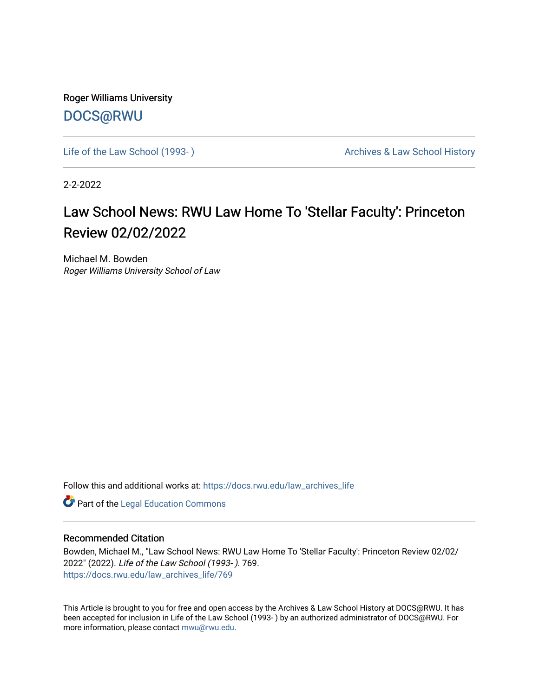Roger Williams University [DOCS@RWU](https://docs.rwu.edu/)

Life of the Law School (1993-) **Archives & Law School History** Archives & Law School History

2-2-2022

## Law School News: RWU Law Home To 'Stellar Faculty': Princeton Review 02/02/2022

Michael M. Bowden Roger Williams University School of Law

Follow this and additional works at: [https://docs.rwu.edu/law\\_archives\\_life](https://docs.rwu.edu/law_archives_life?utm_source=docs.rwu.edu%2Flaw_archives_life%2F769&utm_medium=PDF&utm_campaign=PDFCoverPages)

**Part of the Legal Education Commons** 

## Recommended Citation

Bowden, Michael M., "Law School News: RWU Law Home To 'Stellar Faculty': Princeton Review 02/02/ 2022" (2022). Life of the Law School (1993- ). 769. [https://docs.rwu.edu/law\\_archives\\_life/769](https://docs.rwu.edu/law_archives_life/769?utm_source=docs.rwu.edu%2Flaw_archives_life%2F769&utm_medium=PDF&utm_campaign=PDFCoverPages)

This Article is brought to you for free and open access by the Archives & Law School History at DOCS@RWU. It has been accepted for inclusion in Life of the Law School (1993- ) by an authorized administrator of DOCS@RWU. For more information, please contact [mwu@rwu.edu](mailto:mwu@rwu.edu).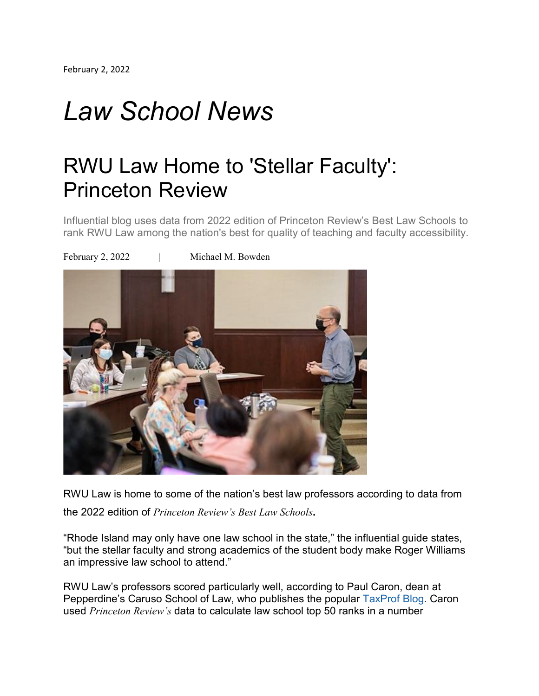## *Law School News*

## RWU Law Home to 'Stellar Faculty': Princeton Review

Influential blog uses data from 2022 edition of Princeton Review's Best Law Schools to rank RWU Law among the nation's best for quality of teaching and faculty accessibility.



RWU Law is home to some of the nation's best law professors according to data from the <sup>2022</sup> edition of *Princeton Review's Best Law Schools.*

"Rhode Island may only have one law school in the state," the influential guide states, "but the stellar faculty and strong academics of the student body make Roger Williams an impressive law school to attend."

RWU Law's professors scored particularly well, according to Paul Caron, dean at Pepperdine's Caruso School of Law, who publishes the popular [TaxProf](https://nam02.safelinks.protection.outlook.com/?url=https%3A%2F%2Ftaxprof.typepad.com%2F&data=04%7C01%7Cmbowden%40rwu.edu%7C4f317b78824746bbd5a308d9e5e77c12%7Cd84edea239e2410aa672331c49c8c4e2%7C0%7C0%7C637793604645093090%7CUnknown%7CTWFpbGZsb3d8eyJWIjoiMC4wLjAwMDAiLCJQIjoiV2luMzIiLCJBTiI6Ik1haWwiLCJXVCI6Mn0%3D%7C3000&sdata=6VYKKwFh%2B3OwphHUKP6GjxTDkDFkxacPdWTNA%2FSdqEc%3D&reserved=0) Blog. Caron used *Princeton Review's* data to calculate law school top 50 ranks in a number